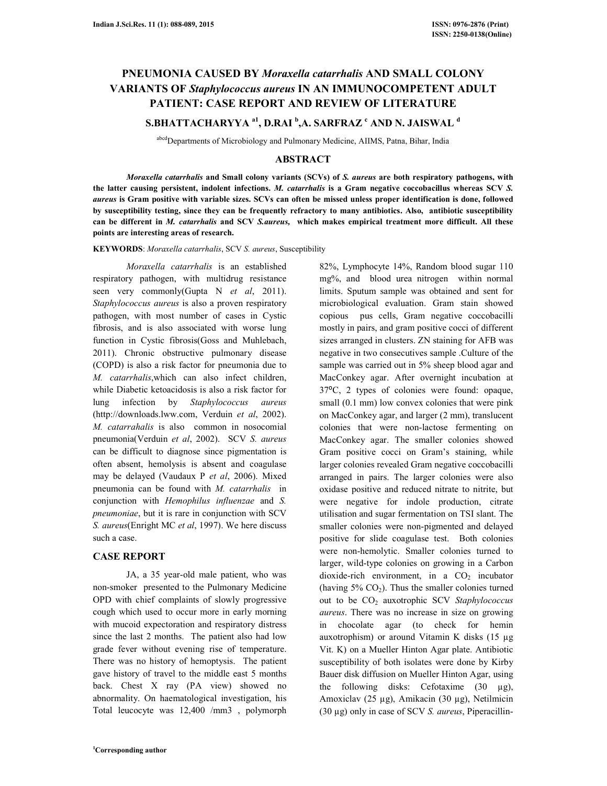# **PNEUMONIA CAUSED BY** *Moraxella catarrhalis* **AND SMALL COLONY VARIANTS OF** *Staphylococcus aureus* **IN AN IMMUNOCOMPETENT ADULT PATIENT: CASE REPORT AND REVIEW OF LITERATURE**

**S.BHATTACHARYYA a1, D.RAI <sup>b</sup> ,A. SARFRAZ <sup>c</sup> AND N. JAISWAL <sup>d</sup>**

abcd Departments of Microbiology and Pulmonary Medicine, AIIMS, Patna, Bihar, India

## **ABSTRACT**

 *Moraxella catarrhalis* **and Small colony variants (SCVs) of** *S. aureus* **are both respiratory pathogens, with the latter causing persistent, indolent infections.** *M. catarrhalis* **is a Gram negative coccobacillus whereas SCV** *S. aureus* **is Gram positive with variable sizes. SCVs can often be missed unless proper identification is done, followed by susceptibility testing, since they can be frequently refractory to many antibiotics. Also, antibiotic susceptibility can be different in** *M. catarrhalis* **and SCV** *S.aureus,* **which makes empirical treatment more difficult. All these points are interesting areas of research.** 

**KEYWORDS**: *Moraxella catarrhalis*, SCV *S. aureus*, Susceptibility

 *Moraxella catarrhalis* is an established respiratory pathogen, with multidrug resistance seen very commonly(Gupta N *et al*, 2011). *Staphylococcus aureus* is also a proven respiratory pathogen, with most number of cases in Cystic fibrosis, and is also associated with worse lung function in Cystic fibrosis(Goss and Muhlebach, 2011). Chronic obstructive pulmonary disease (COPD) is also a risk factor for pneumonia due to *M. catarrhalis*,which can also infect children, while Diabetic ketoacidosis is also a risk factor for lung infection by *Staphylococcus aureus*  (http://downloads.lww.com, Verduin *et al*, 2002). *M. catarrahalis* is also common in nosocomial pneumonia(Verduin *et al*, 2002). SCV *S. aureus*  can be difficult to diagnose since pigmentation is often absent, hemolysis is absent and coagulase may be delayed (Vaudaux P *et al*, 2006). Mixed pneumonia can be found with *M. catarrhalis* in conjunction with *Hemophilus influenzae* and *S. pneumoniae*, but it is rare in conjunction with SCV *S. aureus*(Enright MC *et al*, 1997). We here discuss such a case.

# **CASE REPORT**

 JA, a 35 year-old male patient, who was non-smoker presented to the Pulmonary Medicine OPD with chief complaints of slowly progressive cough which used to occur more in early morning with mucoid expectoration and respiratory distress since the last 2 months. The patient also had low grade fever without evening rise of temperature. There was no history of hemoptysis. The patient gave history of travel to the middle east 5 months back. Chest X ray (PA view) showed no abnormality. On haematological investigation, his Total leucocyte was 12,400 /mm3 , polymorph

82%, Lymphocyte 14%, Random blood sugar 110 mg%, and blood urea nitrogen within normal limits. Sputum sample was obtained and sent for microbiological evaluation. Gram stain showed copious pus cells, Gram negative coccobacilli mostly in pairs, and gram positive cocci of different sizes arranged in clusters. ZN staining for AFB was negative in two consecutives sample .Culture of the sample was carried out in 5% sheep blood agar and MacConkey agar. After overnight incubation at 37⁰C, 2 types of colonies were found: opaque, small (0.1 mm) low convex colonies that were pink on MacConkey agar, and larger (2 mm), translucent colonies that were non-lactose fermenting on MacConkey agar. The smaller colonies showed Gram positive cocci on Gram's staining, while larger colonies revealed Gram negative coccobacilli arranged in pairs. The larger colonies were also oxidase positive and reduced nitrate to nitrite, but were negative for indole production, citrate utilisation and sugar fermentation on TSI slant. The smaller colonies were non-pigmented and delayed positive for slide coagulase test. Both colonies were non-hemolytic. Smaller colonies turned to larger, wild-type colonies on growing in a Carbon dioxide-rich environment, in a  $CO<sub>2</sub>$  incubator (having  $5\%$  CO<sub>2</sub>). Thus the smaller colonies turned out to be CO2 auxotrophic SCV *Staphylococcus aureus*. There was no increase in size on growing in chocolate agar (to check for hemin auxotrophism) or around Vitamin K disks (15 µg Vit. K) on a Mueller Hinton Agar plate. Antibiotic susceptibility of both isolates were done by Kirby Bauer disk diffusion on Mueller Hinton Agar, using the following disks: Cefotaxime  $(30 \mu g)$ , Amoxiclav (25 µg), Amikacin (30 µg), Netilmicin (30 µg) only in case of SCV *S. aureus*, Piperacillin